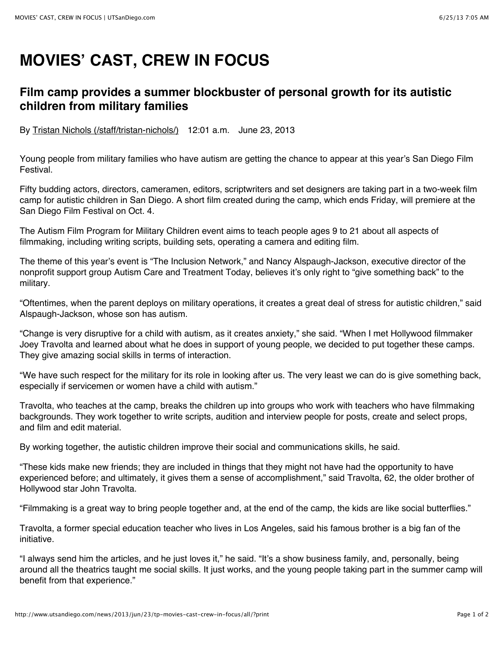## **MOVIES' CAST, CREW IN FOCUS**

## **Film camp provides a summer blockbuster of personal growth for its autistic children from military families**

By Tristan Nichols (/staff/tristan-nichols/) 12:01 a.m. June 23, 2013

Young people from military families who have autism are getting the chance to appear at this year's San Diego Film Festival.

Fifty budding actors, directors, cameramen, editors, scriptwriters and set designers are taking part in a two-week film camp for autistic children in San Diego. A short film created during the camp, which ends Friday, will premiere at the San Diego Film Festival on Oct. 4.

The Autism Film Program for Military Children event aims to teach people ages 9 to 21 about all aspects of filmmaking, including writing scripts, building sets, operating a camera and editing film.

The theme of this year's event is "The Inclusion Network," and Nancy Alspaugh-Jackson, executive director of the nonprofit support group Autism Care and Treatment Today, believes it's only right to "give something back" to the military.

"Oftentimes, when the parent deploys on military operations, it creates a great deal of stress for autistic children," said Alspaugh-Jackson, whose son has autism.

"Change is very disruptive for a child with autism, as it creates anxiety," she said. "When I met Hollywood filmmaker Joey Travolta and learned about what he does in support of young people, we decided to put together these camps. They give amazing social skills in terms of interaction.

"We have such respect for the military for its role in looking after us. The very least we can do is give something back, especially if servicemen or women have a child with autism."

Travolta, who teaches at the camp, breaks the children up into groups who work with teachers who have filmmaking backgrounds. They work together to write scripts, audition and interview people for posts, create and select props, and film and edit material.

By working together, the autistic children improve their social and communications skills, he said.

"These kids make new friends; they are included in things that they might not have had the opportunity to have experienced before; and ultimately, it gives them a sense of accomplishment," said Travolta, 62, the older brother of Hollywood star John Travolta.

"Filmmaking is a great way to bring people together and, at the end of the camp, the kids are like social butterflies."

Travolta, a former special education teacher who lives in Los Angeles, said his famous brother is a big fan of the initiative.

"I always send him the articles, and he just loves it," he said. "It's a show business family, and, personally, being around all the theatrics taught me social skills. It just works, and the young people taking part in the summer camp will benefit from that experience."